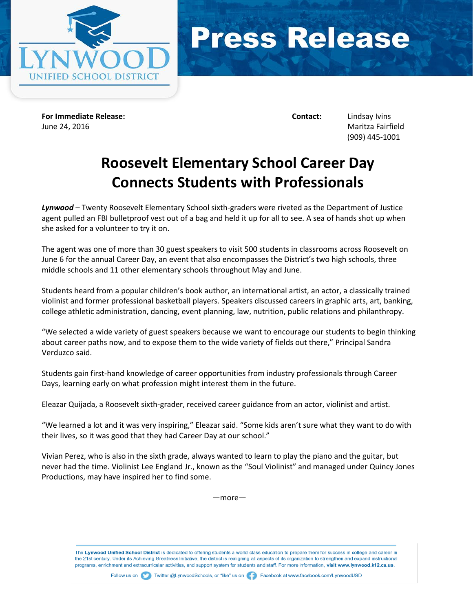



**For Immediate Release: Contact:** Lindsay Ivins June 24, 2016 Maritza Fairfield

(909) 445-1001

## **Roosevelt Elementary School Career Day Connects Students with Professionals**

*Lynwood* – Twenty Roosevelt Elementary School sixth-graders were riveted as the Department of Justice agent pulled an FBI bulletproof vest out of a bag and held it up for all to see. A sea of hands shot up when she asked for a volunteer to try it on.

The agent was one of more than 30 guest speakers to visit 500 students in classrooms across Roosevelt on June 6 for the annual Career Day, an event that also encompasses the District's two high schools, three middle schools and 11 other elementary schools throughout May and June.

Students heard from a popular children's book author, an international artist, an actor, a classically trained violinist and former professional basketball players. Speakers discussed careers in graphic arts, art, banking, college athletic administration, dancing, event planning, law, nutrition, public relations and philanthropy.

"We selected a wide variety of guest speakers because we want to encourage our students to begin thinking about career paths now, and to expose them to the wide variety of fields out there," Principal Sandra Verduzco said.

Students gain first-hand knowledge of career opportunities from industry professionals through Career Days, learning early on what profession might interest them in the future.

Eleazar Quijada, a Roosevelt sixth-grader, received career guidance from an actor, violinist and artist.

"We learned a lot and it was very inspiring," Eleazar said. "Some kids aren't sure what they want to do with their lives, so it was good that they had Career Day at our school."

Vivian Perez, who is also in the sixth grade, always wanted to learn to play the piano and the guitar, but never had the time. Violinist Lee England Jr., known as the "Soul Violinist" and managed under Quincy Jones Productions, may have inspired her to find some.

—more—

The Lynwood Unified School District is dedicated to offering students a world-class education to prepare them for success in college and career in the 21st century. Under its Achieving Greatness Initiative, the district is realigning all aspects of its organization to strengthen and expand instructional programs, enrichment and extracurricular activities, and support system for students and staff. For more information, visit www.lynwood.k12.ca.us.